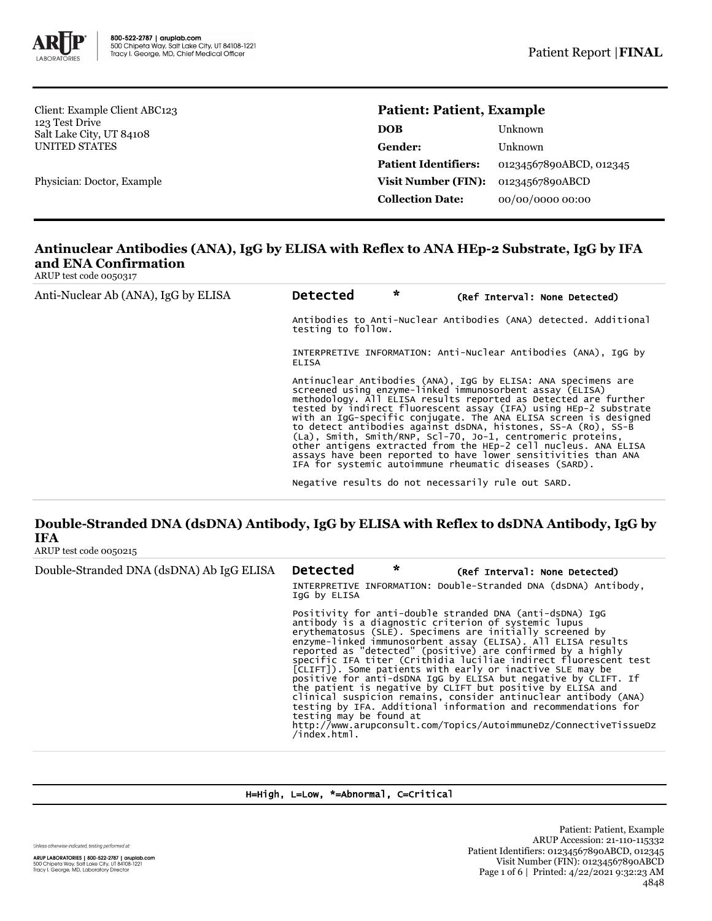

Client: Example Client ABC123 123 Test Drive Salt Lake City, UT 84108 UNITED STATES

Physician: Doctor, Example

### **Patient: Patient, Example**

| DOB                         | Unknown                 |
|-----------------------------|-------------------------|
| Gender:                     | Unknown                 |
| <b>Patient Identifiers:</b> | 01234567890ABCD, 012345 |
| <b>Visit Number (FIN):</b>  | 01234567890ABCD         |
| <b>Collection Date:</b>     | 00/00/0000 00:00        |

# **Antinuclear Antibodies (ANA), IgG by ELISA with Reflex to ANA HEp-2 Substrate, IgG by IFA and ENA Confirmation**

ARUP test code 0050317

| Anti-Nuclear Ab (ANA), IgG by ELISA | $\star$<br><b>Detected</b><br>(Ref Interval: None Detected)                                                                                                                                                                                                                                                                                                                                                                                                                                                                                                                                                                                                         |  |
|-------------------------------------|---------------------------------------------------------------------------------------------------------------------------------------------------------------------------------------------------------------------------------------------------------------------------------------------------------------------------------------------------------------------------------------------------------------------------------------------------------------------------------------------------------------------------------------------------------------------------------------------------------------------------------------------------------------------|--|
|                                     | Antibodies to Anti-Nuclear Antibodies (ANA) detected. Additional<br>testing to follow.                                                                                                                                                                                                                                                                                                                                                                                                                                                                                                                                                                              |  |
|                                     | INTERPRETIVE INFORMATION: Anti-Nuclear Antibodies (ANA), IqG by<br><b>ELISA</b>                                                                                                                                                                                                                                                                                                                                                                                                                                                                                                                                                                                     |  |
|                                     | Antinuclear Antibodies (ANA), IgG by ELISA: ANA specimens are<br>screened using enzyme-linked immunosorbent assay (ELISA)<br>methodology. All ELISA results reported as Detected are further<br>tested by indirect fluorescent assay (IFA) using HEp-2 substrate<br>with an IgG-specific conjugate. The ANA ELISA screen is designed<br>to detect antibodies against dsDNA, histones, SS-A (Ro), SS-B<br>(La), Smith, Smith/RNP, Scl-70, Jo-1, centromeric proteins,<br>other antigens extracted from the HEp-2 cell nucleus. ANA ELISA<br>assays have been reported to have lower sensitivities than ANA<br>IFA for systemic autoimmune rheumatic diseases (SARD). |  |
|                                     | Negative results do not necessarily rule out SARD.                                                                                                                                                                                                                                                                                                                                                                                                                                                                                                                                                                                                                  |  |

### **Double-Stranded DNA (dsDNA) Antibody, IgG by ELISA with Reflex to dsDNA Antibody, IgG by IFA** ARUP test code 0050215

| Double-Stranded DNA (dsDNA) Ab IgG ELISA | <b>Detected</b><br>IgG by ELISA            | $\star$ | (Ref Interval: None Detected)<br>INTERPRETIVE INFORMATION: Double-Stranded DNA (dsDNA) Antibody,                                                                                                                                                                                                                                                                                                                                                                                                                                                                                                                                                                                                                                                                                       |
|------------------------------------------|--------------------------------------------|---------|----------------------------------------------------------------------------------------------------------------------------------------------------------------------------------------------------------------------------------------------------------------------------------------------------------------------------------------------------------------------------------------------------------------------------------------------------------------------------------------------------------------------------------------------------------------------------------------------------------------------------------------------------------------------------------------------------------------------------------------------------------------------------------------|
|                                          | testing may be found at<br>$/$ index.html. |         | Positivity for anti-double stranded DNA (anti-dsDNA) IgG<br>antibody is a diagnostic criterion of systemic lupus<br>erythematosus (SLE). Specimens are initially screened by<br>enzyme-linked immunosorbent assay (ELISA). All ELISA results<br>reported as "detected" (positive) are confirmed by a highly<br>specific IFA titer (Crithidia luciliae indirect fluorescent test<br>[CLIFT]). Some patients with early or inactive SLE may be<br>positive for anti-dsDNA IqG by ELISA but negative by CLIFT. If<br>the patient is negative by CLIFT but positive by ELISA and<br>clinical suspicion remains, consider antinuclear antibody (ANA)<br>testing by IFA. Additional information and recommendations for<br>http://www.arupconsult.com/Topics/AutoimmuneDz/ConnectiveTissueDz |

H=High, L=Low, \*=Abnormal, C=Critical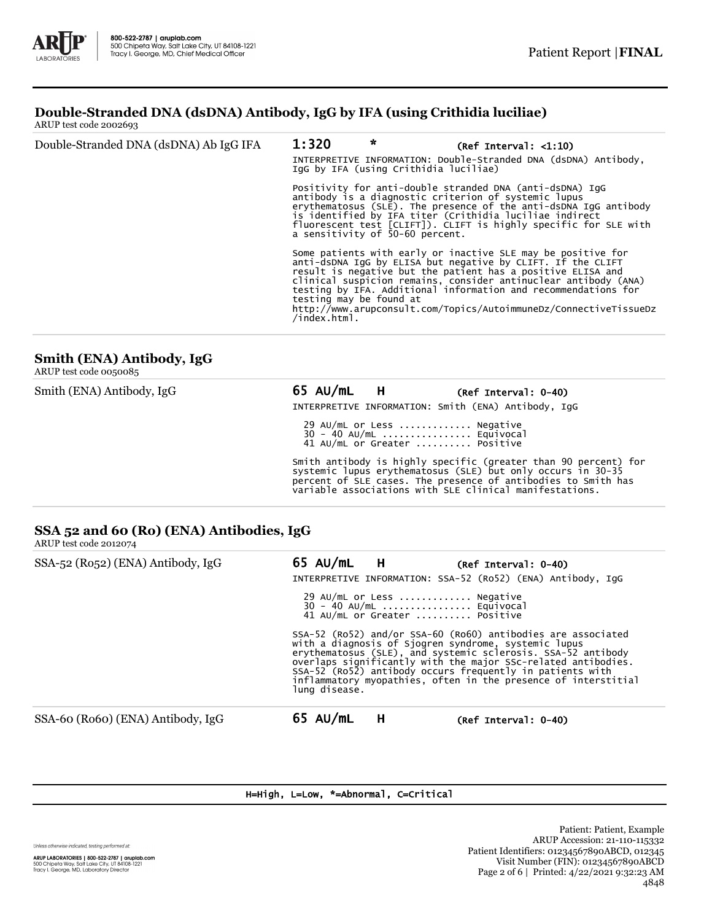# **Double-Stranded DNA (dsDNA) Antibody, IgG by IFA (using Crithidia luciliae)**

ARUP test code 2002693

| Double-Stranded DNA (dsDNA) Ab IgG IFA | 1:320                                   | $\star$<br>(Ref Interval: <1:10)<br>INTERPRETIVE INFORMATION: Double-Stranded DNA (dsDNA) Antibody,<br>IgG by IFA (using Crithidia luciliae) |                                                                                                                                                                                                                                                                                                                                                                                                      |  |  |  |
|----------------------------------------|-----------------------------------------|----------------------------------------------------------------------------------------------------------------------------------------------|------------------------------------------------------------------------------------------------------------------------------------------------------------------------------------------------------------------------------------------------------------------------------------------------------------------------------------------------------------------------------------------------------|--|--|--|
|                                        |                                         | a sensitivity of 50-60 percent.                                                                                                              | Positivity for anti-double stranded DNA (anti-dsDNA) IqG<br>antibody is a diagnostic criterion of systemic lupus<br>erythematosus (SLE). The presence of the anti-dsDNA IgG antibody<br>is identified by IFA titer (Crithidia luciliae indirect<br>fluorescent test [CLIFT]). CLIFT is highly specific for SLE with                                                                                  |  |  |  |
|                                        | testing may be found at<br>/index.html. |                                                                                                                                              | Some patients with early or inactive SLE may be positive for<br>anti-dsDNA IgG by ELISA but negative by CLIFT. If the CLIFT<br>result is negative but the patient has a positive ELISA and<br>clinical suspicion remains, consider antinuclear antibody (ANA)<br>testing by IFA. Additional information and recommendations for<br>http://www.arupconsult.com/Topics/AutoimmuneDz/ConnectiveTissueDz |  |  |  |

# **Smith (ENA) Antibody, IgG**

ARUP test code 0050085

| Smith (ENA) Antibody, IgG | 65 AU/mL H | (Ref Interval: 0-40)<br>INTERPRETIVE INFORMATION: Smith (ENA) Antibody, IqG                                                                                                                                                                                |
|---------------------------|------------|------------------------------------------------------------------------------------------------------------------------------------------------------------------------------------------------------------------------------------------------------------|
|                           |            | 29 AU/mL or Less  Negative<br>30 - 40 AU/mL  Equivocal<br>41 AU/mL or Greater  Positive                                                                                                                                                                    |
|                           |            | Smith antibody is highly specific (greater than 90 percent) for<br>systemic lupus erythematosus (SLE) but only occurs in 30-35<br>percent of SLE cases. The presence of antibodies to Smith has<br>variable associations with SLE clinical manifestations. |

#### **SSA 52 and 60 (Ro) (ENA) Antibodies, IgG** ARUP test code 2012074

| $1.11821$ $1.0010$ $1.0110$       |                                                                                                                                                                                                                                                                                                                                                                                                       |
|-----------------------------------|-------------------------------------------------------------------------------------------------------------------------------------------------------------------------------------------------------------------------------------------------------------------------------------------------------------------------------------------------------------------------------------------------------|
| SSA-52 (Ro52) (ENA) Antibody, IgG | 65 AU/mL H<br>$(Ref Interval: 0-40)$<br>INTERPRETIVE INFORMATION: SSA-52 (Ro52) (ENA) Antibody, IqG                                                                                                                                                                                                                                                                                                   |
|                                   | 29 AU/mL or Less  Negative<br>30 - 40 AU/mL  Equivocal<br>41 AU/mL or Greater  Positive                                                                                                                                                                                                                                                                                                               |
|                                   | SSA-52 (Ro52) and/or SSA-60 (Ro60) antibodies are associated<br>with a diagnosis of Sjogren syndrome, systemic lupus<br>erythematosus (SLE), and systemic sclerosis. SSA-52 antibody<br>overlaps significantly with the major SSc-related antibodies.<br>SSA-52 (Ro52) antibody occurs frequently in patients with<br>inflammatory myopathies, often in the presence of interstitial<br>lung disease. |
| SSA-60 (Ro60) (ENA) Antibody, IgG | $65$ AU/mL<br>H<br>(Ref Interval: 0-40)                                                                                                                                                                                                                                                                                                                                                               |

### H=High, L=Low, \*=Abnormal, C=Critical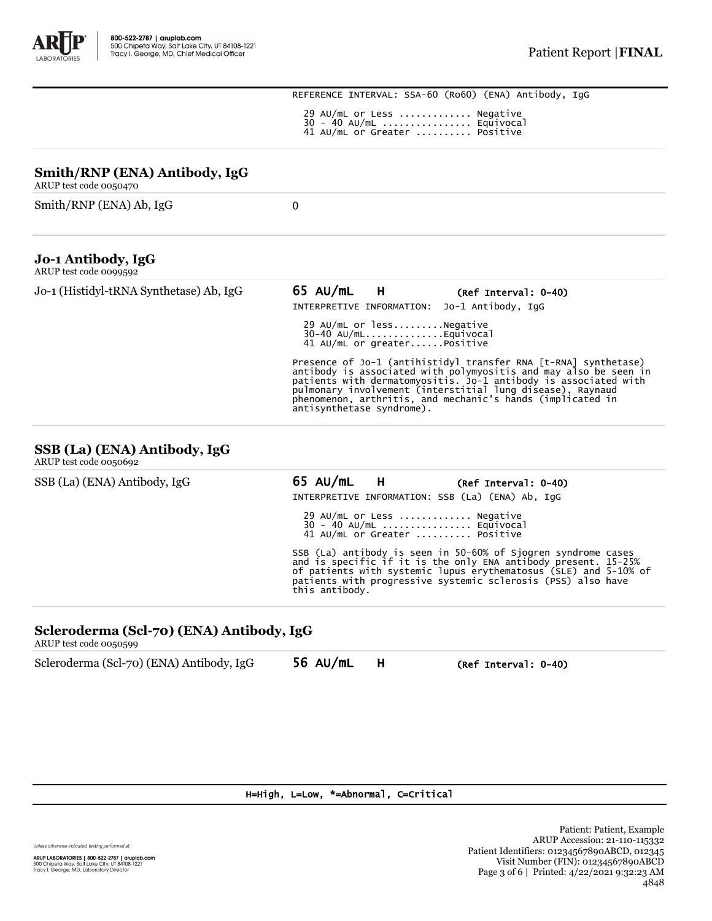REFERENCE INTERVAL: SSA-60 (Ro60) (ENA) Antibody, IgG 29 AU/mL or Less ............. Negative 30 - 40 AU/mL ................ Equivocal 41 AU/mL or Greater .......... Positive

| Smith/RNP (ENA) Antibody, IgG<br>ARUP test code 0050470 |                                                                                                                                                                                                                                                                                                                                                                 |
|---------------------------------------------------------|-----------------------------------------------------------------------------------------------------------------------------------------------------------------------------------------------------------------------------------------------------------------------------------------------------------------------------------------------------------------|
| Smith/RNP (ENA) Ab, IgG                                 | $\Omega$                                                                                                                                                                                                                                                                                                                                                        |
| Jo-1 Antibody, IgG<br>ARUP test code 0099592            |                                                                                                                                                                                                                                                                                                                                                                 |
| Jo-1 (Histidyl-tRNA Synthetase) Ab, IgG                 | $65$ AU/mL<br><b>H</b><br>(Ref Interval: 0-40)<br>INTERPRETIVE INFORMATION: Jo-1 Antibody, IqG                                                                                                                                                                                                                                                                  |
|                                                         | 29 AU/mL or lessNegative<br>$30-40$ AU/mLEquivocal<br>41 AU/mL or greaterPositive                                                                                                                                                                                                                                                                               |
|                                                         | Presence of Jo-1 (antihistidyl transfer RNA [t-RNA] synthetase)<br>antibody is associated with polymyositis and may also be seen in<br>patients with dermatomyositis. Jo-1 antibody is associated with<br>pulmonary involvement (interstitial lung disease), Raynaud<br>phenomenon, arthritis, and mechanic's hands (implicated in<br>antisynthetase syndrome). |

#### **SSB (La) (ENA) Antibody, IgG** ARUP test code 0050692

| SSB (La) (ENA) Antibody, IgG | 65 AU/mL H     |                                                                                         | (Ref Interval: 0-40)<br>INTERPRETIVE INFORMATION: SSB (La) (ENA) Ab, IGG                                                                                                                                                                                            |  |
|------------------------------|----------------|-----------------------------------------------------------------------------------------|---------------------------------------------------------------------------------------------------------------------------------------------------------------------------------------------------------------------------------------------------------------------|--|
|                              |                | 29 AU/mL or Less  Negative<br>30 - 40 AU/mL  Equivocal<br>41 AU/mL or Greater  Positive |                                                                                                                                                                                                                                                                     |  |
|                              | this antibody. |                                                                                         | SSB (La) antibody is seen in 50-60% of Sjogren syndrome cases<br>and is specific if it is the only ENA antibody present. 15-25%<br>of patients with systemic lupus erythematosus (SLE) and 5-10% of<br>patients with progressive systemic sclerosis (PSS) also have |  |

# **Scleroderma (Scl-70) (ENA) Antibody, IgG**

ARUP test code 0050599

| 56 AU/mL<br>Scleroderma (Scl-70) (ENA) Antibody, IgG<br>(Ref Interval: 0-40) |  |
|------------------------------------------------------------------------------|--|
|------------------------------------------------------------------------------|--|

#### H=High, L=Low, \*=Abnormal, C=Critical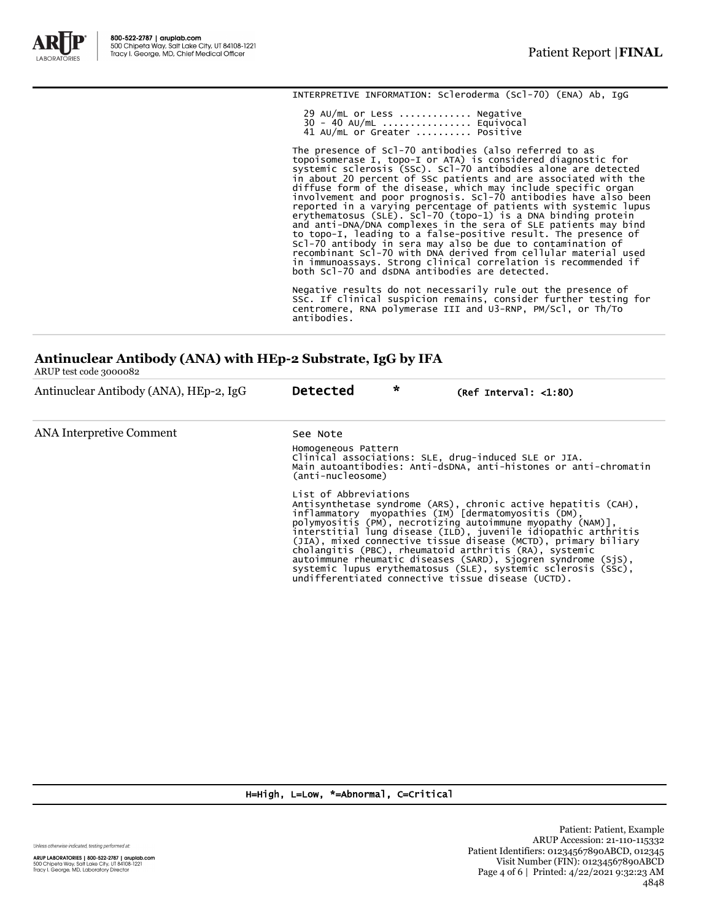

INTERPRETIVE INFORMATION: Scleroderma (Scl-70) (ENA) Ab, IgG

 29 AU/mL or Less ............. Negative 30 - 40 AU/mL ................ Equivocal 41 AU/mL or Greater .......... Positive

The presence of Scl-70 antibodies (also referred to as<br>topoisomerase I, topo-I or ATA) is considered diagnostic for<br>systemic sclerosis (SSC). Scl-70 antibodies alone are detected<br>in about 20 percent of SSc patients and are

Negative results do not necessarily rule out the presence of SSc. If clinical suspicion remains, consider further testing for centromere, RNA polymerase III and U3-RNP, PM/Scl, or Th/To antibodies.

## **Antinuclear Antibody (ANA) with HEp-2 Substrate, IgG by IFA**

ARUP test code 3000082

| Antinuclear Antibody (ANA), HEp-2, IgG | <b>Detected</b>                                                                                                                                                                                                                                                                                                                                                                                                                                                                                                                                                                                    | $\star$ | $(Ref Interval: 1:80)$ |  |
|----------------------------------------|----------------------------------------------------------------------------------------------------------------------------------------------------------------------------------------------------------------------------------------------------------------------------------------------------------------------------------------------------------------------------------------------------------------------------------------------------------------------------------------------------------------------------------------------------------------------------------------------------|---------|------------------------|--|
| ANA Interpretive Comment               | See Note                                                                                                                                                                                                                                                                                                                                                                                                                                                                                                                                                                                           |         |                        |  |
|                                        | Homogeneous Pattern<br>Clinical associations: SLE, drug-induced SLE or JIA.<br>Main autoantibodies: Anti-dsDNA, anti-histones or anti-chromatin<br>(anti-nucleosome)                                                                                                                                                                                                                                                                                                                                                                                                                               |         |                        |  |
|                                        | List of Abbreviations<br>Antisynthetase syndrome (ARS), chronic active hepatitis (CAH),<br>inflammatory myopathies (IM) [dermatomyositis (DM),<br>polymyositis (PM), necrotizing autoimmune myopathy (NAM)],<br>interstitial lung disease (ILD), juvenile idiopathic arthritis<br>(JIA), mixed connective tissue disease (MCTD), primary biliary<br>cholangitis (PBC), rheumatoid arthritis (RA), systemic<br>autoimmune rheumatic diseases (SARD), Sjogren syndrome (SjS),<br>systemic lupus erythematosus (SLE), systemic sclerosis (SSC),<br>undifferentiated connective tissue disease (UCTD). |         |                        |  |

H=High, L=Low, \*=Abnormal, C=Critical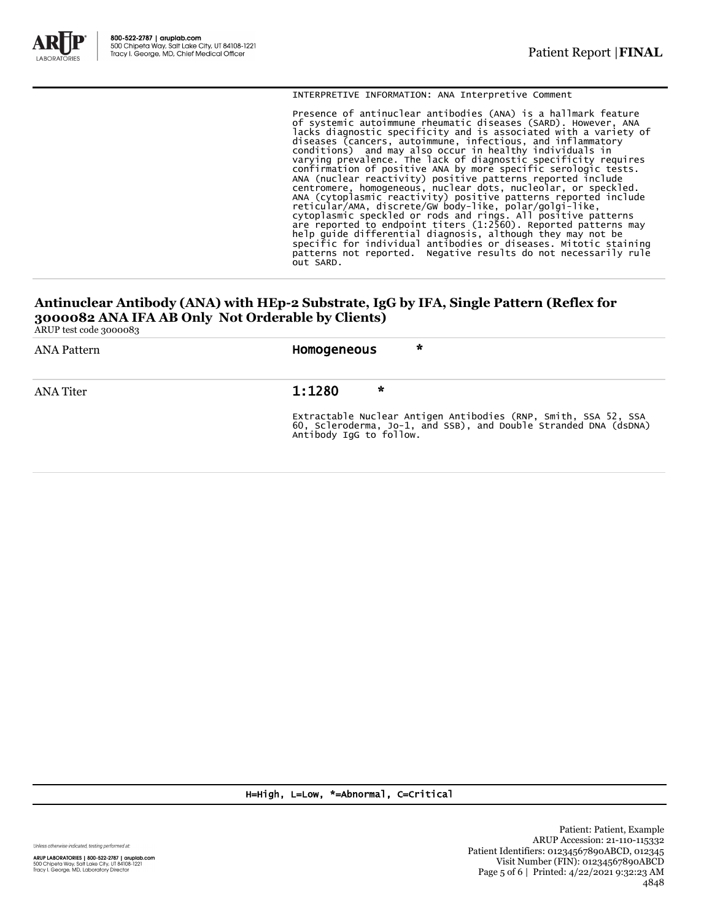

INTERPRETIVE INFORMATION: ANA Interpretive Comment

Presence of antinuclear antibodies (ANA) is a hallmark feature of systemic autoimmune rheumatic diseases (SARD). However, ANA lacks diagnostic specificity and is associated with a variety of<br>diseases (cancers, autoimmune, infectious, and inflammatory<br>conditions) and may also occur in healthy individuals in<br>varying prevalence. The lack of diagnost patterns not reported. Negative results do not necessarily rule out SARD.

# **Antinuclear Antibody (ANA) with HEp-2 Substrate, IgG by IFA, Single Pattern (Reflex for 3000082 ANA IFA AB Only Not Orderable by Clients)**

ARUP test code 3000083

| ANA Pattern      | $\star$<br>Homogeneous                                                                                                                                      |
|------------------|-------------------------------------------------------------------------------------------------------------------------------------------------------------|
| <b>ANA Titer</b> | 1:1280<br>$\star$                                                                                                                                           |
|                  | Extractable Nuclear Antigen Antibodies (RNP, Smith, SSA 52, SSA 60, Scleroderma, Jo-1, and SSB), and Double Stranded DNA (dsDNA)<br>Antibody IqG to follow. |

H=High, L=Low, \*=Abnormal, C=Critical

Unless otherwise indicated, testing performed at:

**ARUP LABORATORIES | 800-522-2787 | aruplab.com**<br>500 Chipeta Way, Salt Lake City, UT 84108-1221<br>Tracy I. George, MD, Laboratory Director

Patient: Patient, Example ARUP Accession: 21-110-115332 Patient Identifiers: 01234567890ABCD, 012345 Visit Number (FIN): 01234567890ABCD Page 5 of 6 | Printed: 4/22/2021 9:32:23 AM 4848